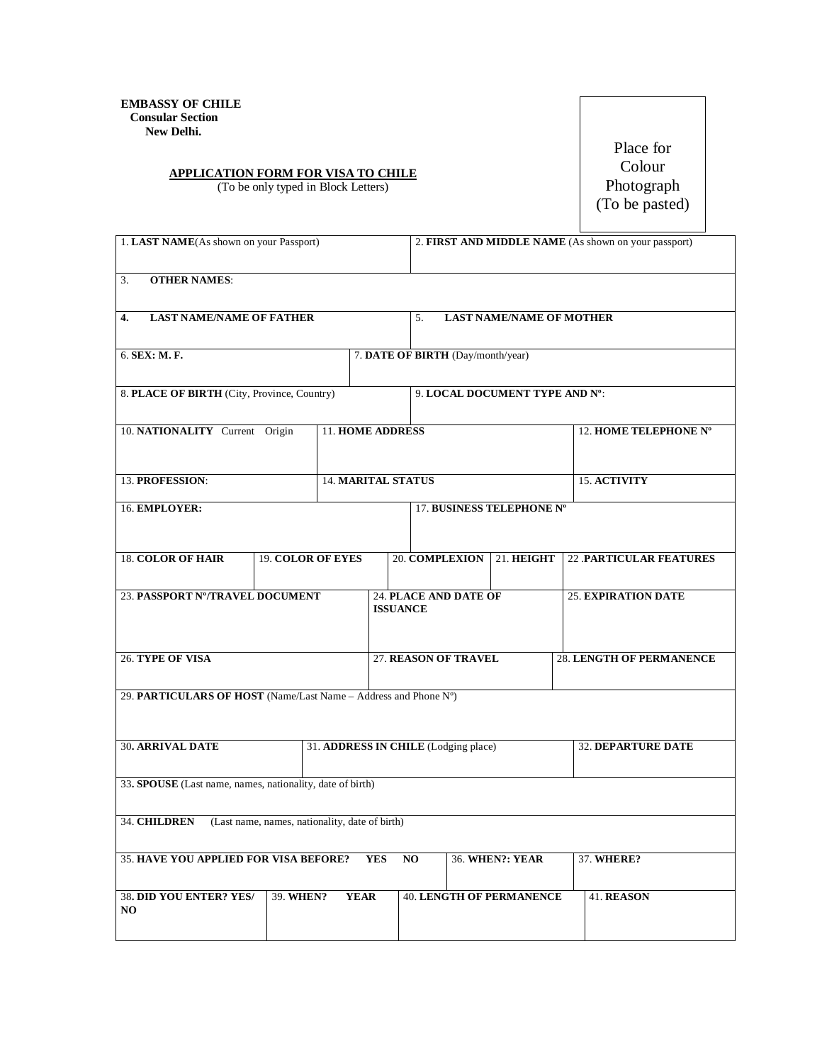## **APPLICATION FORM FOR VISA TO CHILE**

(To be only typed in Block Letters)

Place for Colour Photograph (To be pasted)

| 1. LAST NAME(As shown on your Passport)                         |                         |                                                |                              | 2. FIRST AND MIDDLE NAME (As shown on your passport) |                                 |                                 |  |  |
|-----------------------------------------------------------------|-------------------------|------------------------------------------------|------------------------------|------------------------------------------------------|---------------------------------|---------------------------------|--|--|
| <b>OTHER NAMES:</b><br>3.                                       |                         |                                                |                              |                                                      |                                 |                                 |  |  |
| <b>LAST NAME/NAME OF FATHER</b><br>4.                           |                         |                                                |                              | <b>LAST NAME/NAME OF MOTHER</b><br>5.                |                                 |                                 |  |  |
| 6. SEX: M. F.                                                   |                         |                                                |                              | 7. DATE OF BIRTH (Day/month/year)                    |                                 |                                 |  |  |
| 8. PLACE OF BIRTH (City, Province, Country)                     |                         |                                                |                              | 9. LOCAL DOCUMENT TYPE AND N°:                       |                                 |                                 |  |  |
| 10. NATIONALITY Current Origin                                  | <b>11. HOME ADDRESS</b> |                                                |                              |                                                      |                                 | 12. HOME TELEPHONE N°           |  |  |
| 13. PROFESSION:                                                 |                         | <b>14. MARITAL STATUS</b>                      |                              |                                                      | 15. ACTIVITY                    |                                 |  |  |
| 16. EMPLOYER:                                                   |                         |                                                |                              | 17. BUSINESS TELEPHONE Nº                            |                                 |                                 |  |  |
| <b>18. COLOR OF HAIR</b><br><b>19. COLOR OF EYES</b>            |                         |                                                |                              | 20. COMPLEXION                                       | 21. HEIGHT                      | <b>22 PARTICULAR FEATURES</b>   |  |  |
| 23. PASSPORT Nº/TRAVEL DOCUMENT                                 |                         | <b>ISSUANCE</b>                                | <b>24. PLACE AND DATE OF</b> | <b>25. EXPIRATION DATE</b>                           |                                 |                                 |  |  |
| <b>26. TYPE OF VISA</b>                                         |                         |                                                | 27. REASON OF TRAVEL         |                                                      |                                 | <b>28. LENGTH OF PERMANENCE</b> |  |  |
| 29. PARTICULARS OF HOST (Name/Last Name - Address and Phone N°) |                         |                                                |                              |                                                      |                                 |                                 |  |  |
| <b>30. ARRIVAL DATE</b>                                         |                         |                                                |                              | 31. ADDRESS IN CHILE (Lodging place)                 |                                 | 32. DEPARTURE DATE              |  |  |
| 33. SPOUSE (Last name, names, nationality, date of birth)       |                         |                                                |                              |                                                      |                                 |                                 |  |  |
| 34. CHILDREN                                                    |                         | (Last name, names, nationality, date of birth) |                              |                                                      |                                 |                                 |  |  |
| <b>35. HAVE YOU APPLIED FOR VISA BEFORE?</b><br><b>YES</b>      |                         |                                                |                              | NO.<br><b>36. WHEN?: YEAR</b>                        |                                 | 37. WHERE?                      |  |  |
| 38. DID YOU ENTER? YES/<br>NO.                                  | 39. WHEN?               | <b>YEAR</b>                                    |                              |                                                      | <b>40. LENGTH OF PERMANENCE</b> | 41. REASON                      |  |  |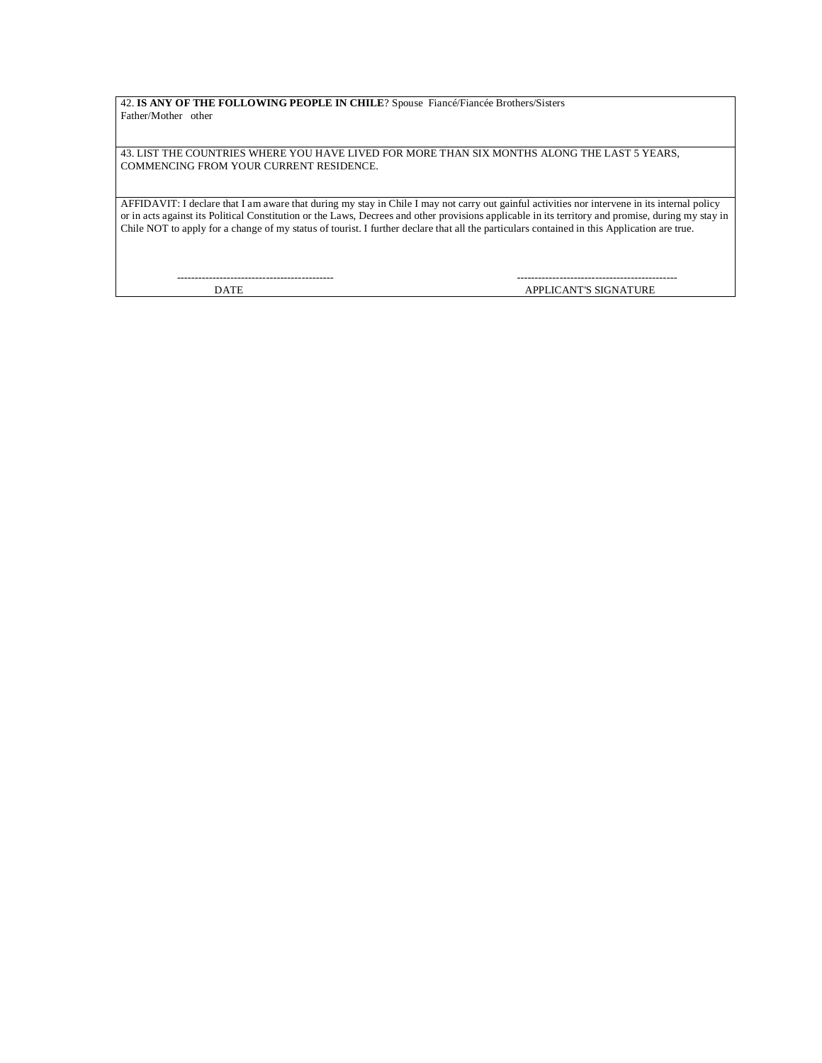42. **IS ANY OF THE FOLLOWING PEOPLE IN CHILE**? Spouse Fiancé/Fiancée Brothers/Sisters Father/Mother other

43. LIST THE COUNTRIES WHERE YOU HAVE LIVED FOR MORE THAN SIX MONTHS ALONG THE LAST 5 YEARS, COMMENCING FROM YOUR CURRENT RESIDENCE.

AFFIDAVIT: I declare that I am aware that during my stay in Chile I may not carry out gainful activities nor intervene in its internal policy or in acts against its Political Constitution or the Laws, Decrees and other provisions applicable in its territory and promise, during my stay in Chile NOT to apply for a change of my status of tourist. I further declare that all the particulars contained in this Application are true.

-------------------------------------------- ---------------------------------------------

DATE APPLICANT'S SIGNATURE